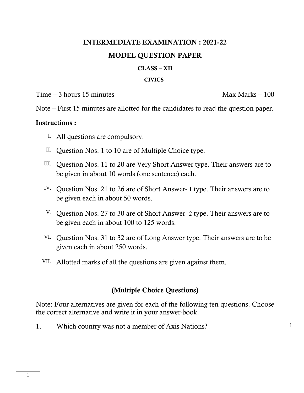## **INTERMEDIATE EXAMINATION : 2021-22**

## **MODEL QUESTION PAPER**

#### **CLASS – XII**

#### **CIVICS**

 $Time - 3 hours 15 minutes$  Max Marks – 100

Note – First 15 minutes are allotted for the candidates to read the question paper.

### **Instructions :**

- I. All questions are compulsory.
- II. Question Nos. 1 to 10 are of Multiple Choice type.
- III. Question Nos. 11 to 20 are Very Short Answer type. Their answers are to be given in about 10 words (one sentence) each.
- IV. Question Nos. 21 to 26 are of Short Answer- 1 type. Their answers are to be given each in about 50 words.
- V. Question Nos. 27 to 30 are of Short Answer- 2 type. Their answers are to be given each in about 100 to 125 words.
- VI. Question Nos. 31 to 32 are of Long Answer type. Their answers are to be given each in about 250 words.
- VII. Allotted marks of all the questions are given against them.

## **(Multiple Choice Questions)**

Note: Four alternatives are given for each of the following ten questions. Choose the correct alternative and write it in your answer-book.

1. Which country was not a member of Axis Nations?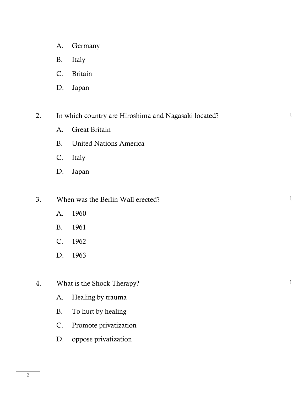- A. Germany
- B. Italy
- C. Britain
- D. Japan

2. In which country are Hiroshima and Nagasaki located? 1

- A. Great Britain
- B. United Nations America
- C. Italy
- D. Japan
- 3. When was the Berlin Wall erected?
	- A. 1960
	- B. 1961
	- C. 1962
	- D. 1963
- 4. What is the Shock Therapy?
	- A. Healing by trauma
	- B. To hurt by healing
	- C. Promote privatization
	- D. oppose privatization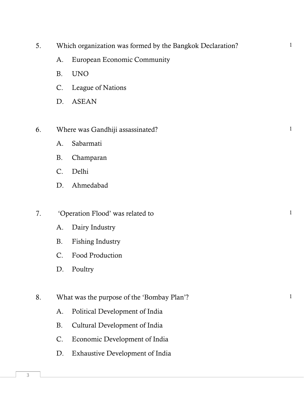- 5. Which organization was formed by the Bangkok Declaration?
	- A. European Economic Community
	- B. UNO
	- C. League of Nations
	- D. ASEAN
- 6. Where was Gandhiji assassinated? 1
	- A. Sabarmati
	- B. Champaran
	- C. Delhi
	- D. Ahmedabad

## 7. Conferential operation Flood' was related to 1

- A. Dairy Industry
- B. Fishing Industry
- C. Food Production
- D. Poultry
- 8. What was the purpose of the 'Bombay Plan'? 1
	- A. Political Development of India
	- B. Cultural Development of India
	- C. Economic Development of India
	- D. Exhaustive Development of India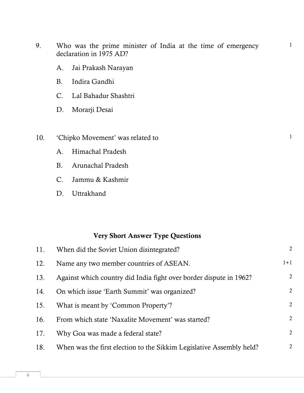# 13. Against which country did India fight over border dispute in 1962?

11. When did the Soviet Union disintegrated?

16. From which state 'Naxalite Movement' was started? 2

17. Why Goa was made a federal state?

18. When was the first election to the Sikkim Legislative Assembly held?

14. On which issue 'Earth Summit' was organized? 15. What is meant by 'Common Property'?

**Very Short Answer Type Questions**

- A. Himachal Pradesh
- B. Arunachal Pradesh
- 
- D. Uttrakhand

declaration in 1975 AD?

- B. Indira Gandhi
- C. Lal Bahadur Shashtri
- D. Morarji Desai
- A. Jai Prakash Narayan

9. Who was the prime minister of India at the time of emergency

- 10. 'Chipko Movement' was related to 1
	-
	-
	-
	- C. Jammu & Kashmir
	-

4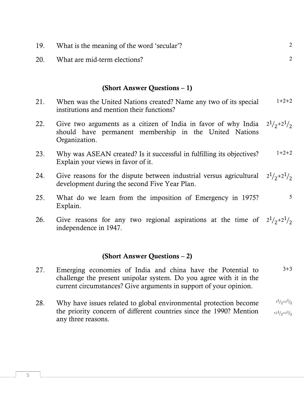|     | (Short Answer Questions – 1)                                                                                                              |                         |
|-----|-------------------------------------------------------------------------------------------------------------------------------------------|-------------------------|
| 21. | When was the United Nations created? Name any two of its special<br>institutions and mention their functions?                             | $1+2+2$                 |
| 22. | Give two arguments as a citizen of India in favor of why India<br>should have permanent membership in the United Nations<br>Organization. | $2^{1}/_{2}+2^{1}/_{2}$ |
| 23. | Why was ASEAN created? Is it successful in fulfilling its objectives?<br>Explain your views in favor of it.                               | $1+2+2$                 |
| 24. | Give reasons for the dispute between industrial versus agricultural<br>development during the second Five Year Plan.                      | $2^{1/2+2^{1/2}}$       |
| 25. | What do we learn from the imposition of Emergency in 1975?<br>Explain.                                                                    | 5                       |
| 26. | Give reasons for any two regional aspirations at the time of $2^1/2^2$<br>independence in 1947.                                           |                         |
|     | (Chapter A)                                                                                                                               |                         |

19. What is the meaning of the word 'secular'?

20. What are mid-term elections?

### **(Short Answer Questions – 2)**

- 27. Emerging economies of India and china have the Potential to challenge the present unipolar system. Do you agree with it in the current circumstances? Give arguments in support of your opinion.  $3 + 3$
- 28. Why have issues related to global environmental protection become the priority concern of different countries since the 1990? Mention any three reasons.  $1^{\frac{1}{2}+1^{\frac{1}{2}}}$  $+1^{\frac{1}{2}+1^{\frac{1}{2}}}$